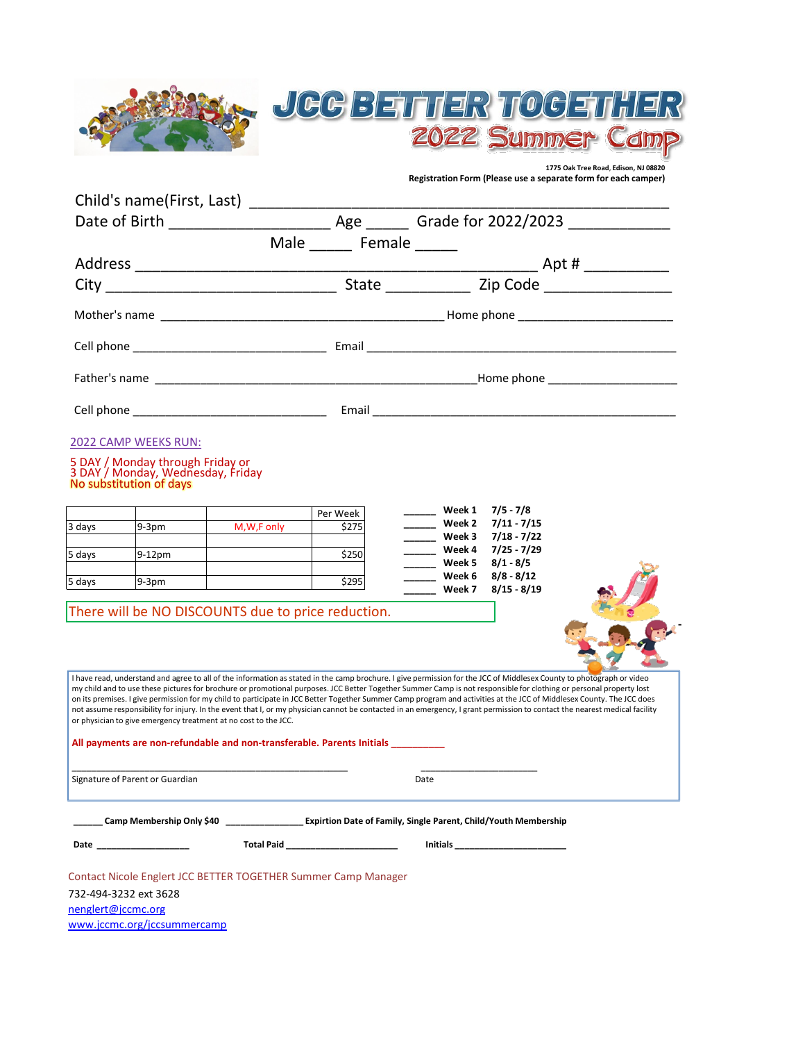|        |             |              | Per Week |
|--------|-------------|--------------|----------|
| 3 days | $ 9 - 3$ pm | M, W, F only | \$275    |
|        |             |              |          |
| 5 days | 9-12pm      |              | \$250    |
|        |             |              |          |
| 5 days | $ 9 - 3$ pm |              | \$295    |

There will be NO DISCOUNTS due to price reduction.



Contact Nicole Englert JCC BETTER TOGETHER Summer Camp Manager

732-494-3232 ext 3628

[nenglert@jccmc.org](mailto:nenglert@jccmc.org)

[www.jccmc.org/jccsummercamp](http://www.jccmc.org/jccsummercamp)

I have read, understand and agree to all of the information as stated in the camp brochure. I give permission for the JCC of Middlesex County to photograph or video my child and to use these pictures for brochure or promotional purposes. JCC Better Together Summer Camp is not responsible for clothing or personal property lost on its premises. I give permission for my child to participate in JCC Better Together Summer Camp program and activities at the JCC of Middlesex County. The JCC does not assume responsibility for injury. In the event that I, or my physician cannot be contacted in an emergency, I grant permission to contact the nearest medical facility or physician to give emergency treatment at no cost to the JCC.

| Week 1 | $7/5 - 7/8$   |
|--------|---------------|
| Week 2 | $7/11 - 7/15$ |
| Week 3 | $7/18 - 7/22$ |
| Week 4 | $7/25 - 7/29$ |
| Week 5 | $8/1 - 8/5$   |
| Week 6 | $8/8 - 8/12$  |
| Week 7 | $8/15 - 8/19$ |

|                                                                       |                | 2022 Summer Camp                                                                                                                                                                                                              |  |
|-----------------------------------------------------------------------|----------------|-------------------------------------------------------------------------------------------------------------------------------------------------------------------------------------------------------------------------------|--|
|                                                                       |                | 1775 Oak Tree Road, Edison, NJ 08820<br>Registration Form (Please use a separate form for each camper)                                                                                                                        |  |
| Child's name(First, Last) ________                                    |                |                                                                                                                                                                                                                               |  |
| Date of Birth <u>________________</u>                                 |                | Age ________ Grade for 2022/2023 _                                                                                                                                                                                            |  |
|                                                                       | Male<br>Female |                                                                                                                                                                                                                               |  |
| Address                                                               |                | Apt #                                                                                                                                                                                                                         |  |
| City                                                                  | State          | Zip Code                                                                                                                                                                                                                      |  |
| Mother's name                                                         |                | Home phone <b>Nome</b>                                                                                                                                                                                                        |  |
|                                                                       |                | Email and the contract of the contract of the contract of the contract of the contract of the contract of the c                                                                                                               |  |
| Father's name                                                         |                |                                                                                                                                                                                                                               |  |
|                                                                       |                | Email and the contract of the contract of the contract of the contract of the contract of the contract of the contract of the contract of the contract of the contract of the contract of the contract of the contract of the |  |
| <b>2022 CAMP WEEKS RUN:</b>                                           |                |                                                                                                                                                                                                                               |  |
| 5 DAY / Monday through Friday or<br>3 DAY / Monday, Wednesday, Friday |                |                                                                                                                                                                                                                               |  |

**All payments are non-refundable and non-transferable. Parents Initials \_\_\_\_\_\_\_\_\_\_**

\_\_\_\_\_\_\_\_\_\_\_\_\_\_\_\_\_\_\_\_\_\_\_\_\_\_\_\_\_\_\_\_\_\_\_\_\_\_\_\_\_\_\_\_\_\_\_\_\_\_\_\_\_\_\_\_\_ \_\_\_\_\_\_\_\_\_\_\_\_\_\_\_\_\_\_\_\_\_\_\_\_

Signature of Parent or Guardian Date

**\_\_\_\_\_\_ Camp Membership Only \$40 \_\_\_\_\_\_\_\_\_\_\_\_\_\_\_\_ Expirtion Date of Family, Single Parent, Child/Youth Membership**

**Date \_\_\_\_\_\_\_\_\_\_\_\_\_\_\_\_\_\_\_ Total Paid \_\_\_\_\_\_\_\_\_\_\_\_\_\_\_\_\_\_\_\_\_\_\_ Initials \_\_\_\_\_\_\_\_\_\_\_\_\_\_\_\_\_\_\_\_\_\_\_**